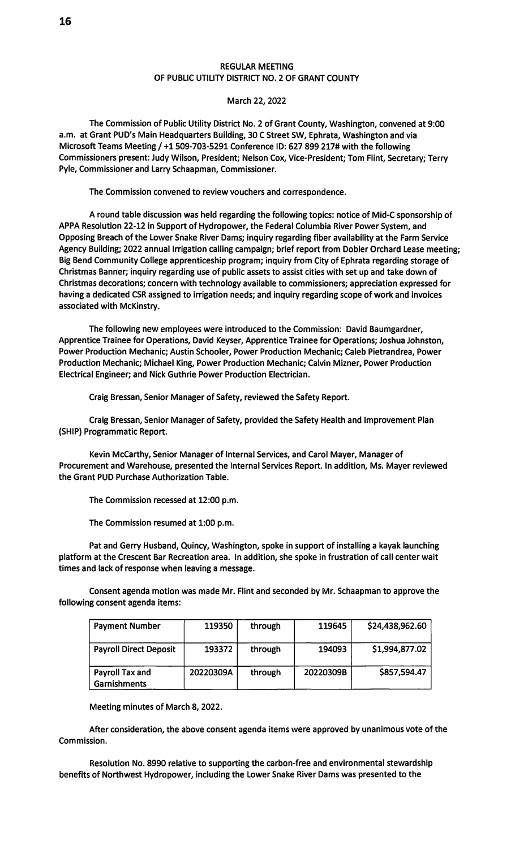## REGULAR MEETING OF PUBLIC UTILITY DISTRICT NO. 2 OF GRANT COUNTY

## March 22, 2022

The Commission of Public Utility District No. 2 of Grant County, Washington, convened at 9:00 a.m. at Grant PUD's Main Headquarters Building, 30 C Street SW, Ephrata, Washington and via Microsoft Teams Meeting/ +1509-703-5291 Conference ID: 627 899 217# with the following Commissioners present: Judy Wilson, President; Nelson Cox, Vice-President; Tom Flint, Secretary; Terry Pyle, Commissioner and Larry Schaapman, Commissioner.

The Commission convened to review vouchers and correspondence.

A round table discussion was held regarding the following topics: notice of Mid-C sponsorship of APPA Resolution 22-12 in Support of Hydropower, the Federal Columbia River Power System, and Opposing Breach of the Lower Snake River Dams; inquiry regarding fiber availability at the Farm Service Agency Building; 2022 annual Irrigation calling campaign; brief report from Dobler Orchard Lease meeting; Big Bend Community College apprenticeship program; inquiry from City of Ephrata regarding storage of Christmas Banner; inquiry regarding use of public assets to assist cities with set up and take down of Christmas decorations; concern with technology available to commissioners; appreciation expressed for having a dedicated CSR assigned to irrigation needs; and inquiry regarding scope of work and invoices associated with McKinstry.

The following new employees were introduced to the Commission: David Baumgardner, Apprentice Trainee for Operations, David Keyser, Apprentice Trainee for Operations; Joshua Johnston, Power Production Mechanic; Austin Schooler, Power Production Mechanic; Caleb Pietrandrea, Power Production Mechanic; Michael King, Power Production Mechanic; Calvin Mizner, Power Production Electrical Engineer; and Nick Guthrie Power Production Electrician.

Craig Bressan, Senior Manager of Safety, reviewed the Safety Report.

Craig Bressan, Senior Manager of Safety, provided the Safety Health and Improvement Plan (SHIP) Programmatic Report.

Kevin McCarthy, Senior Manager of Internal Services, and Carol Mayer, Manager of Procurement and Warehouse, presented the Internal Services Report. In addition, Ms. Mayer reviewed the Grant PUD Purchase Authorization Table.

The Commission recessed at 12:00 p.m.

The Commission resumed at 1:00 p.m.

Pat and Gerry Husband, Quincy, Washington, spoke in support of installing a kayak launching platform at the Crescent Bar Recreation area. In addition, she spoke in frustration of call center wait times and lack of response when leaving a message.

Consent agenda motion was made Mr. Flint and seconded by Mr. Schaapman to approve the following consent agenda items:

| <b>Payment Number</b>                  | 119350    | through | 119645    | \$24,438,962.60 |
|----------------------------------------|-----------|---------|-----------|-----------------|
| <b>Payroll Direct Deposit</b>          | 193372    | through | 194093    | \$1,994,877.02  |
| Payroll Tax and<br><b>Garnishments</b> | 20220309A | through | 20220309B | \$857,594.47    |

Meeting minutes of March 8, 2022.

After consideration, the above consent agenda items were approved by unanimous vote of the Commission.

Resolution No. 8990 relative to supporting the carbon-free and environmental stewardship benefits of Northwest Hydropower, including the Lower Snake River Dams was presented to the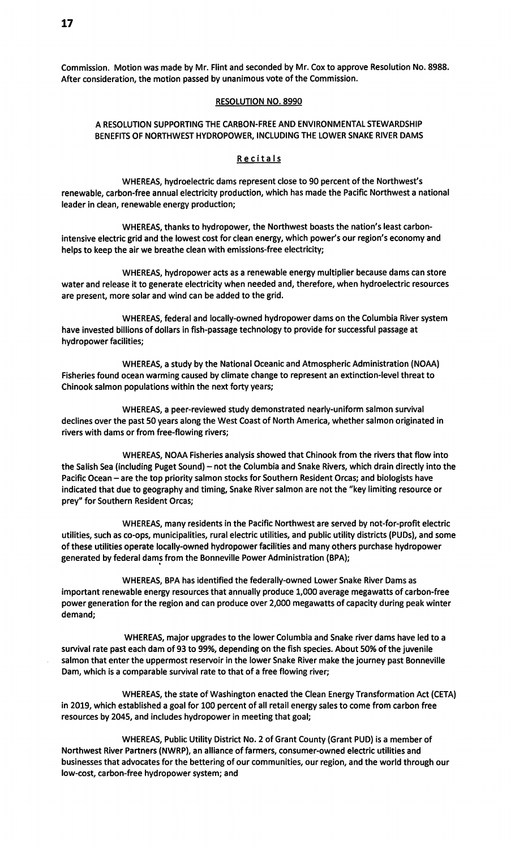Commission. Motion was made by Mr. Flint and seconded by Mr. Cox to approve Resolution No. 8988. After consideration, the motion passed by unanimous vote of the Commission.

#### RESOLUTION NO. 8990

# A RESOLUTION SUPPORTING THE CARBON-FREE AND ENVIRONMENTAL STEWARDSHIP BENEFITS OF NORTHWEST HYDROPOWER, INCLUDING THE LOWER SNAKE RIVER DAMS

### Recitals

WHEREAS, hydroelectric dams represent close to 90 percent of the Northwest's renewable, carbon-free annual electricity production, which has made the Pacific Northwest a national leader in clean, renewable energy production;

WHEREAS, thanks to hydropower, the Northwest boasts the nation's least carbonintensive electric grid and the lowest cost for clean energy, which power's our region's economy and helps to keep the air we breathe clean with emissions-free electricity;

WHEREAS, hydropower acts as a renewable energy multiplier because dams can store water and release it to generate electricity when needed and, therefore, when hydroelectric resources are present, more solar and wind can be added to the grid.

WHEREAS, federal and locally-owned hydropower dams on the Columbia River system have invested billions of dollars in fish-passage technology to provide for successful passage at hydropower facilities;

WHEREAS, a study by the National Oceanic and Atmospheric Administration (NOAA) Fisheries found ocean warming caused by climate change to represent an extinction-level threat to Chinook salmon populations within the next forty years;

WHEREAS, a peer-reviewed study demonstrated nearly-uniform salmon survival declines over the past 50 years along the West Coast of North America, whether salmon originated in rivers with dams or from free-flowing rivers;

WHEREAS, NOAA Fisheries analysis showed that Chinook from the rivers that flow into the Salish Sea (including Puget Sound) - not the Columbia and Snake Rivers, which drain directly into the Pacific Ocean - are the top priority salmon stocks for Southern Resident Orcas; and biologists have indicated that due to geography and timing, Snake River salmon are not the "key limiting resource or prey" for Southern Resident Orcas;

WHEREAS, many residents in the Pacific Northwest are served by not-for-profit electric utilities, such as co-ops, municipalities, rural electric utilities, and public utility districts (PUDs), and some of these utilities operate locally-owned hydropower facilities and many others purchase hydropower generated by federal dams from the Bonneville Power Administration (BPA);

WHEREAS, BPA has identified the federally-owned Lower Snake River Dams as important renewable energy resources that annually produce 1,000 average megawatts of carbon-free power generation for the region and can produce over 2,000 megawatts of capacity during peak winter demand;

WHEREAS, major upgrades to the lower Columbia and Snake river dams have led to a survival rate past each dam of 93 to 99%, depending on the fish species. About 50% of the juvenile salmon that enter the uppermost reservoir in the lower Snake River make the journey past Bonneville Dam, which is a comparable survival rate to that of a free flowing river;

WHEREAS, the state of Washington enacted the Clean Energy Transformation Act (CETA) in 2019, which established a goal for 100 percent of all retail energy sales to come from carbon free resources by 2045, and includes hydropower in meeting that goal;

WHEREAS, Public Utility District No. 2 of Grant County (Grant PUD) is a member of Northwest River Partners (NWRP), an alliance of farmers, consumer-owned electric utilities and businesses that advocates for the bettering of our communities, our region, and the world through our low-cost, carbon-free hydropower system; and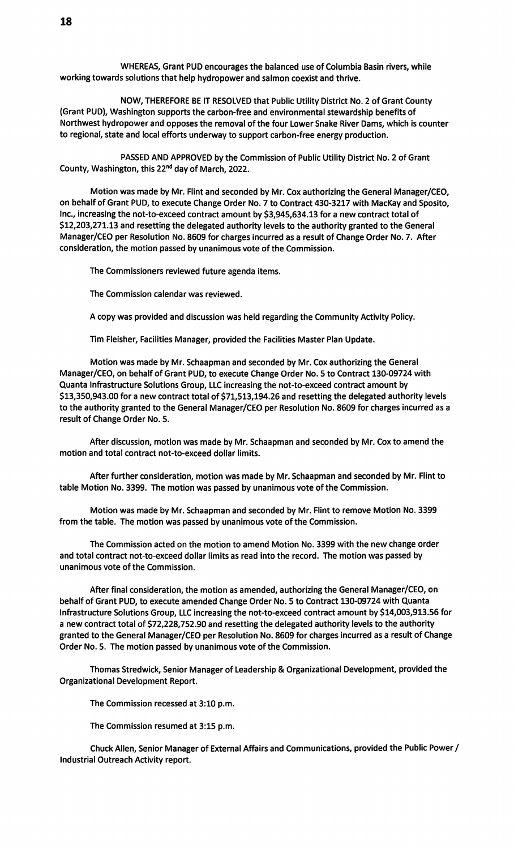WHEREAS, Grant PUD encourages the balanced use of Columbia Basin rivers, while working towards solutions that help hydropower and salmon coexist and thrive.

NOW, THEREFORE BE IT RESOLVED that Public Utility District No. 2 of Grant County (Grant PUD), Washington supports the carbon-free and environmental stewardship benefits of Northwest hydropower and opposes the removal of the four Lower Snake River Dams, which is counter to regional, state and local efforts underway to support carbon-free energy production.

PASSED AND APPROVED by the Commission of Public Utility District No. 2 of Grant County, Washington, this 22nd day of March, 2022.

Motion was made by Mr. Flint and seconded by Mr. Cox authorizing the General Manager/CEO, on behalf of Grant PUD, to execute Change Order No. 7 to Contract 430-3217 with MacKay and Sposito, Inc., increasing the not-to-exceed contract amount by \$3,945,634.13 for a new contract total of \$12,203,271.13 and resetting the delegated authority levels to the authority granted to the General Manager/CEO per Resolution No. 8609 for charges incurred as a result of Change Order No. 7. After consideration, the motion passed by unanimous vote of the Commission.

The Commissioners reviewed future agenda items.

The Commission calendar was reviewed.

A copy was provided and discussion was held regarding the Community Activity Policy.

Tim Fleisher, Facilities Manager, provided the Facilities Master Plan Update.

Motion was made by Mr. Schaapman and seconded by Mr. Cox authorizing the General Manager/CEO, on behalf of Grant PUD, to execute Change Order No. 5 to Contract 130-09724 with Quanta Infrastructure Solutions Group, LLC increasing the not-to-exceed contract amount by \$13,350,943.00 for a new contract total of \$71,513,194.26 and resetting the delegated authority levels to the authority granted to the General Manager/CEO per Resolution No. 8609 for charges incurred as a result of Change Order No. 5.

After discussion, motion was made by Mr. Schaapman and seconded by Mr. Cox to amend the motion and total contract not-to-exceed dollar limits.

After further consideration, motion was made by Mr. Schaapman and seconded by Mr. Flint to table Motion No. 3399. The motion was passed by unanimous vote of the Commission.

Motion was made by Mr. Schaapman and seconded by Mr. Flint to remove Motion No. 3399 from the table. The motion was passed by unanimous vote of the Commission.

The Commission acted on the motion to amend Motion No. 3399 with the new change order and total contract not-to-exceed dollar limits as read into the record. The motion was passed by unanimous vote of the Commission.

After final consideration, the motion as amended, authorizing the General Manager/CEO, on behalf of Grant PUD, to execute amended Change Order No. 5 to Contract 130-09724 with Quanta Infrastructure Solutions Group, LLC increasing the not-to-exceed contract amount by \$14,003,913.56 for a new contract total of \$72,228,752.90 and resetting the delegated authority levels to the authority granted to the General Manager/CEO per Resolution No. 8609 for charges incurred as a result of Change Order No. 5. The motion passed by unanimous vote of the Commission.

Thomas Stredwick, Senior Manager of Leadership & Organizational Development, provided the Organizational Development Report.

The Commission recessed at 3:10 p.m.

The Commission resumed at 3:15 p.m.

Chuck Allen, Senior Manager of External Affairs and Communications, provided the Public Power/ Industrial Outreach Activity report.